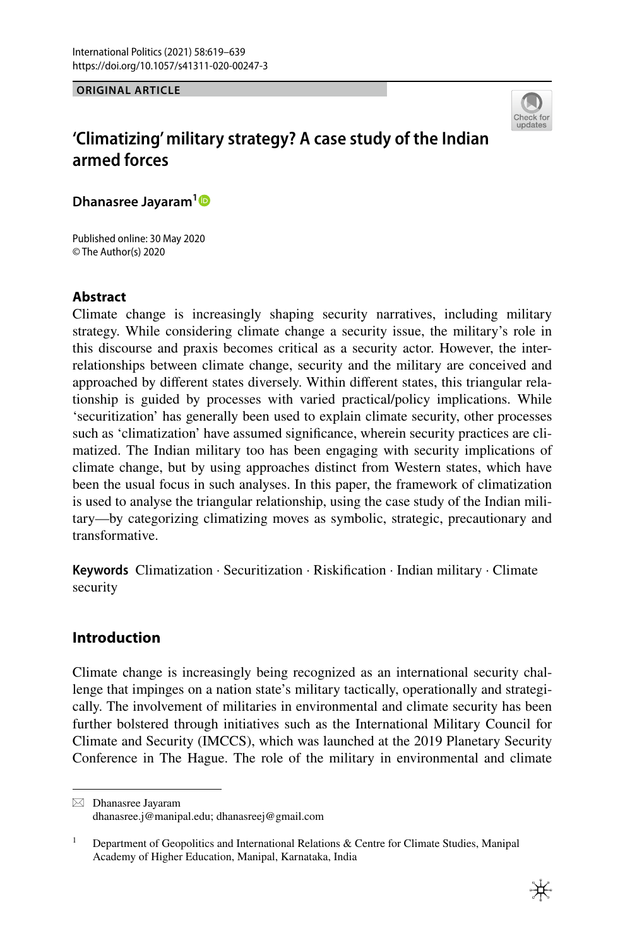**ORIGINAL ARTICLE**



# **'Climatizing' military strategy? A case study of the Indian armed forces**

**Dhanasree Jayaram[1](http://orcid.org/0000-0003-0483-7943)**

Published online: 30 May 2020 © The Author(s) 2020

# **Abstract**

Climate change is increasingly shaping security narratives, including military strategy. While considering climate change a security issue, the military's role in this discourse and praxis becomes critical as a security actor. However, the interrelationships between climate change, security and the military are conceived and approached by diferent states diversely. Within diferent states, this triangular relationship is guided by processes with varied practical/policy implications. While 'securitization' has generally been used to explain climate security, other processes such as 'climatization' have assumed signifcance, wherein security practices are climatized. The Indian military too has been engaging with security implications of climate change, but by using approaches distinct from Western states, which have been the usual focus in such analyses. In this paper, the framework of climatization is used to analyse the triangular relationship, using the case study of the Indian military—by categorizing climatizing moves as symbolic, strategic, precautionary and transformative.

**Keywords** Climatization · Securitization · Riskifcation · Indian military · Climate security

# **Introduction**

Climate change is increasingly being recognized as an international security challenge that impinges on a nation state's military tactically, operationally and strategically. The involvement of militaries in environmental and climate security has been further bolstered through initiatives such as the International Military Council for Climate and Security (IMCCS), which was launched at the 2019 Planetary Security Conference in The Hague. The role of the military in environmental and climate

 $\boxtimes$  Dhanasree Jayaram dhanasree.j@manipal.edu; dhanasreej@gmail.com

<sup>&</sup>lt;sup>1</sup> Department of Geopolitics and International Relations  $\&$  Centre for Climate Studies, Manipal Academy of Higher Education, Manipal, Karnataka, India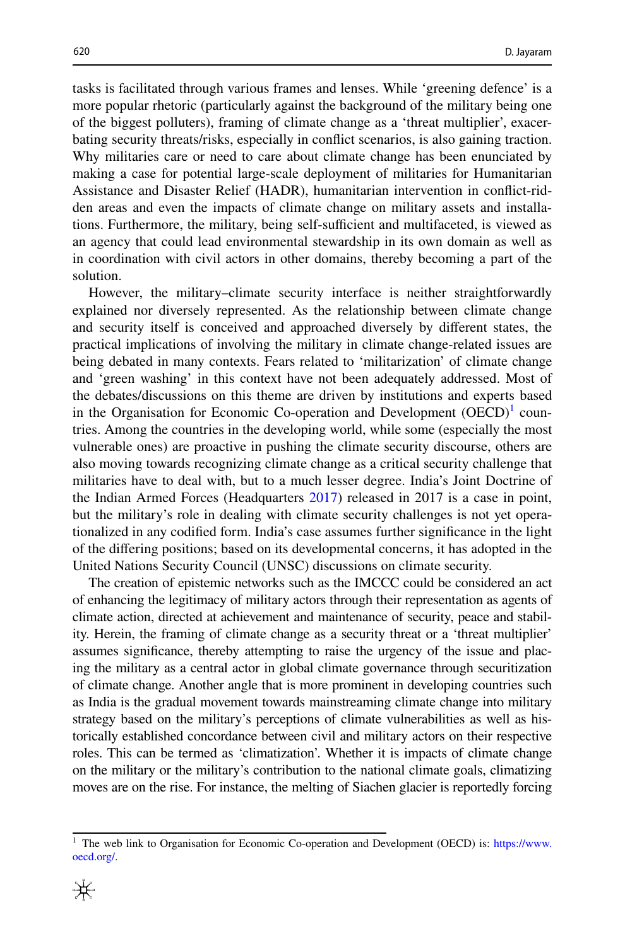tasks is facilitated through various frames and lenses. While 'greening defence' is a more popular rhetoric (particularly against the background of the military being one of the biggest polluters), framing of climate change as a 'threat multiplier', exacerbating security threats/risks, especially in confict scenarios, is also gaining traction. Why militaries care or need to care about climate change has been enunciated by making a case for potential large-scale deployment of militaries for Humanitarian Assistance and Disaster Relief (HADR), humanitarian intervention in confict-ridden areas and even the impacts of climate change on military assets and installations. Furthermore, the military, being self-sufficient and multifaceted, is viewed as an agency that could lead environmental stewardship in its own domain as well as in coordination with civil actors in other domains, thereby becoming a part of the solution.

However, the military–climate security interface is neither straightforwardly explained nor diversely represented. As the relationship between climate change and security itself is conceived and approached diversely by diferent states, the practical implications of involving the military in climate change-related issues are being debated in many contexts. Fears related to 'militarization' of climate change and 'green washing' in this context have not been adequately addressed. Most of the debates/discussions on this theme are driven by institutions and experts based in the Organisation for Economic Co-operation and Development (OECD)<sup>1</sup> countries. Among the countries in the developing world, while some (especially the most vulnerable ones) are proactive in pushing the climate security discourse, others are also moving towards recognizing climate change as a critical security challenge that militaries have to deal with, but to a much lesser degree. India's Joint Doctrine of the Indian Armed Forces (Headquarters [2017\)](#page-18-0) released in 2017 is a case in point, but the military's role in dealing with climate security challenges is not yet operationalized in any codifed form. India's case assumes further signifcance in the light of the difering positions; based on its developmental concerns, it has adopted in the United Nations Security Council (UNSC) discussions on climate security.

The creation of epistemic networks such as the IMCCC could be considered an act of enhancing the legitimacy of military actors through their representation as agents of climate action, directed at achievement and maintenance of security, peace and stability. Herein, the framing of climate change as a security threat or a 'threat multiplier' assumes signifcance, thereby attempting to raise the urgency of the issue and placing the military as a central actor in global climate governance through securitization of climate change. Another angle that is more prominent in developing countries such as India is the gradual movement towards mainstreaming climate change into military strategy based on the military's perceptions of climate vulnerabilities as well as historically established concordance between civil and military actors on their respective roles. This can be termed as 'climatization'. Whether it is impacts of climate change on the military or the military's contribution to the national climate goals, climatizing moves are on the rise. For instance, the melting of Siachen glacier is reportedly forcing

<span id="page-1-0"></span><sup>&</sup>lt;sup>1</sup> The web link to Organisation for Economic Co-operation and Development (OECD) is: [https://www.](https://www.oecd.org/) [oecd.org/.](https://www.oecd.org/)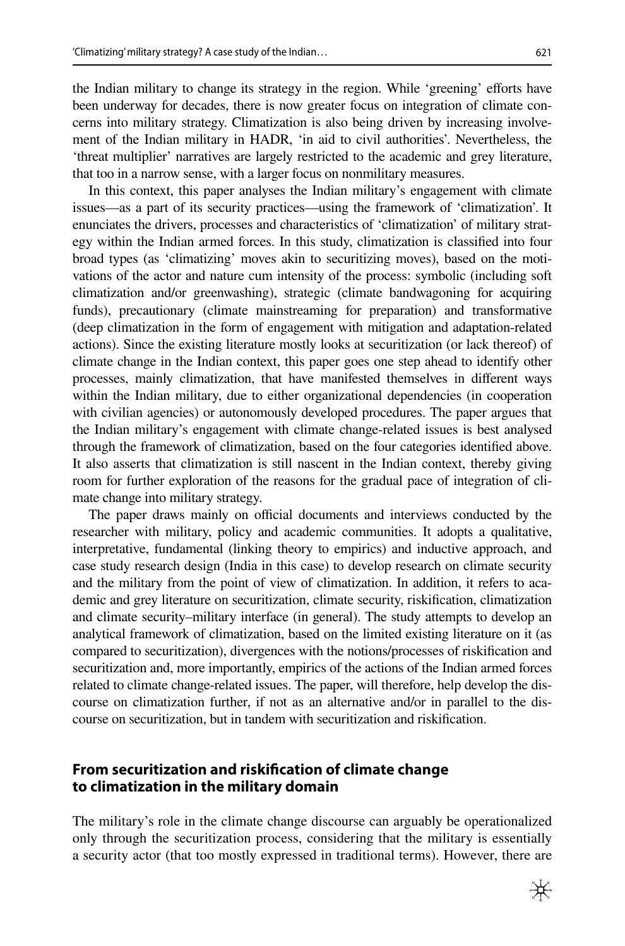the Indian military to change its strategy in the region. While 'greening' eforts have been underway for decades, there is now greater focus on integration of climate concerns into military strategy. Climatization is also being driven by increasing involvement of the Indian military in HADR, 'in aid to civil authorities'. Nevertheless, the 'threat multiplier' narratives are largely restricted to the academic and grey literature, that too in a narrow sense, with a larger focus on nonmilitary measures.

In this context, this paper analyses the Indian military's engagement with climate issues—as a part of its security practices—using the framework of 'climatization'. It enunciates the drivers, processes and characteristics of 'climatization' of military strategy within the Indian armed forces. In this study, climatization is classifed into four broad types (as 'climatizing' moves akin to securitizing moves), based on the motivations of the actor and nature cum intensity of the process: symbolic (including soft climatization and/or greenwashing), strategic (climate bandwagoning for acquiring funds), precautionary (climate mainstreaming for preparation) and transformative (deep climatization in the form of engagement with mitigation and adaptation-related actions). Since the existing literature mostly looks at securitization (or lack thereof) of climate change in the Indian context, this paper goes one step ahead to identify other processes, mainly climatization, that have manifested themselves in diferent ways within the Indian military, due to either organizational dependencies (in cooperation with civilian agencies) or autonomously developed procedures. The paper argues that the Indian military's engagement with climate change-related issues is best analysed through the framework of climatization, based on the four categories identifed above. It also asserts that climatization is still nascent in the Indian context, thereby giving room for further exploration of the reasons for the gradual pace of integration of climate change into military strategy.

The paper draws mainly on official documents and interviews conducted by the researcher with military, policy and academic communities. It adopts a qualitative, interpretative, fundamental (linking theory to empirics) and inductive approach, and case study research design (India in this case) to develop research on climate security and the military from the point of view of climatization. In addition, it refers to academic and grey literature on securitization, climate security, riskifcation, climatization and climate security–military interface (in general). The study attempts to develop an analytical framework of climatization, based on the limited existing literature on it (as compared to securitization), divergences with the notions/processes of riskifcation and securitization and, more importantly, empirics of the actions of the Indian armed forces related to climate change-related issues. The paper, will therefore, help develop the discourse on climatization further, if not as an alternative and/or in parallel to the discourse on securitization, but in tandem with securitization and riskifcation.

# **From securitization and riskifcation of climate change to climatization in the military domain**

The military's role in the climate change discourse can arguably be operationalized only through the securitization process, considering that the military is essentially a security actor (that too mostly expressed in traditional terms). However, there are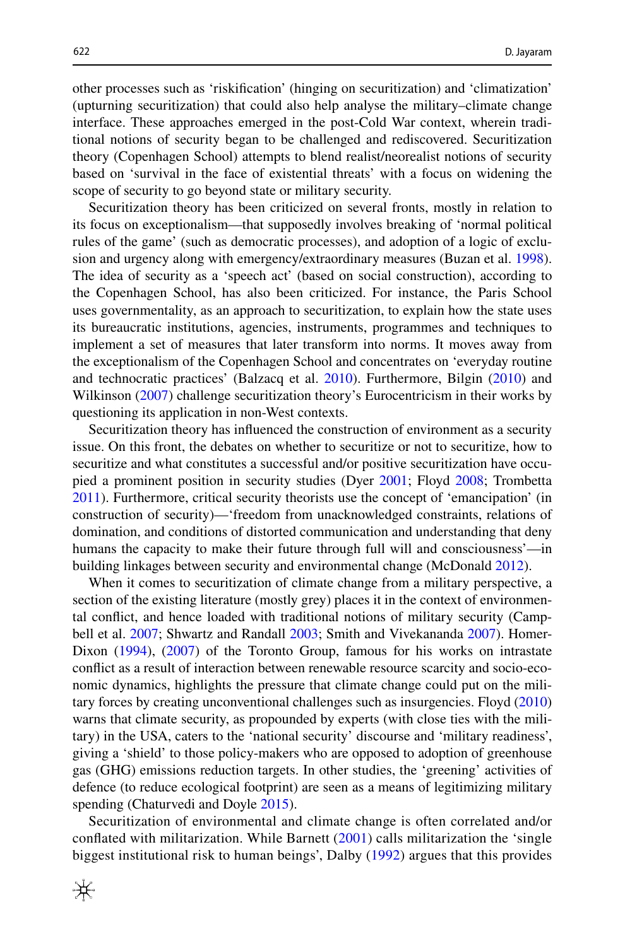other processes such as 'riskifcation' (hinging on securitization) and 'climatization' (upturning securitization) that could also help analyse the military–climate change interface. These approaches emerged in the post-Cold War context, wherein traditional notions of security began to be challenged and rediscovered. Securitization theory (Copenhagen School) attempts to blend realist/neorealist notions of security based on 'survival in the face of existential threats' with a focus on widening the scope of security to go beyond state or military security.

Securitization theory has been criticized on several fronts, mostly in relation to its focus on exceptionalism—that supposedly involves breaking of 'normal political rules of the game' (such as democratic processes), and adoption of a logic of exclusion and urgency along with emergency/extraordinary measures (Buzan et al. [1998\)](#page-17-0). The idea of security as a 'speech act' (based on social construction), according to the Copenhagen School, has also been criticized. For instance, the Paris School uses governmentality, as an approach to securitization, to explain how the state uses its bureaucratic institutions, agencies, instruments, programmes and techniques to implement a set of measures that later transform into norms. It moves away from the exceptionalism of the Copenhagen School and concentrates on 'everyday routine and technocratic practices' (Balzacq et al. [2010](#page-17-1)). Furthermore, Bilgin ([2010\)](#page-17-2) and Wilkinson [\(2007](#page-20-0)) challenge securitization theory's Eurocentricism in their works by questioning its application in non-West contexts.

Securitization theory has infuenced the construction of environment as a security issue. On this front, the debates on whether to securitize or not to securitize, how to securitize and what constitutes a successful and/or positive securitization have occupied a prominent position in security studies (Dyer [2001;](#page-18-1) Floyd [2008](#page-18-2); Trombetta [2011](#page-19-0)). Furthermore, critical security theorists use the concept of 'emancipation' (in construction of security)—'freedom from unacknowledged constraints, relations of domination, and conditions of distorted communication and understanding that deny humans the capacity to make their future through full will and consciousness'—in building linkages between security and environmental change (McDonald [2012\)](#page-18-3).

When it comes to securitization of climate change from a military perspective, a section of the existing literature (mostly grey) places it in the context of environmental confict, and hence loaded with traditional notions of military security (Campbell et al. [2007](#page-17-3); Shwartz and Randall [2003;](#page-19-1) Smith and Vivekananda [2007\)](#page-19-2). Homer-Dixon ([1994\)](#page-18-4), [\(2007](#page-18-5)) of the Toronto Group, famous for his works on intrastate confict as a result of interaction between renewable resource scarcity and socio-economic dynamics, highlights the pressure that climate change could put on the military forces by creating unconventional challenges such as insurgencies. Floyd [\(2010](#page-18-6)) warns that climate security, as propounded by experts (with close ties with the military) in the USA, caters to the 'national security' discourse and 'military readiness', giving a 'shield' to those policy-makers who are opposed to adoption of greenhouse gas (GHG) emissions reduction targets. In other studies, the 'greening' activities of defence (to reduce ecological footprint) are seen as a means of legitimizing military spending (Chaturvedi and Doyle [2015](#page-18-7)).

Securitization of environmental and climate change is often correlated and/or confated with militarization. While Barnett ([2001\)](#page-17-4) calls militarization the 'single biggest institutional risk to human beings', Dalby ([1992\)](#page-18-8) argues that this provides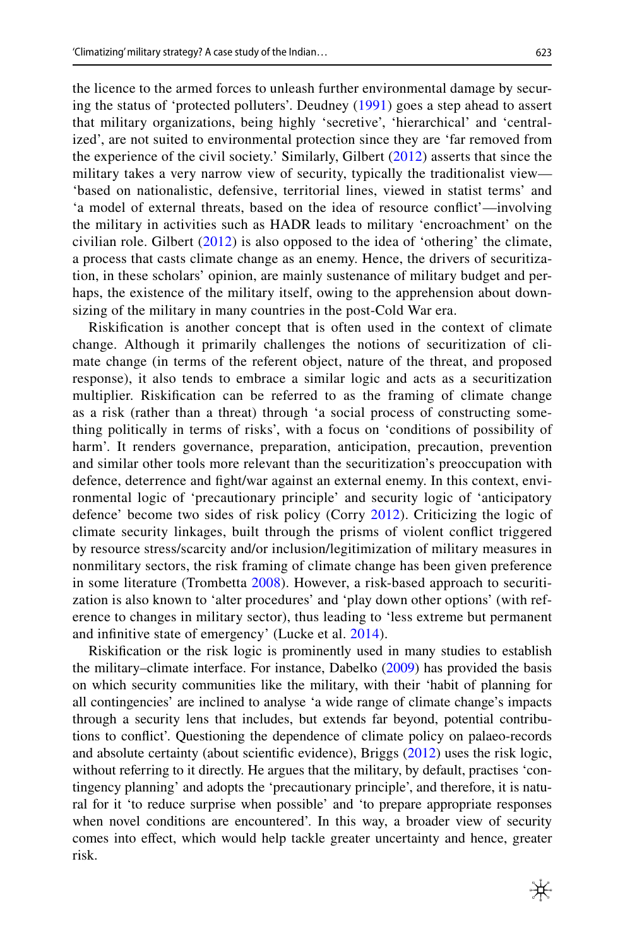the licence to the armed forces to unleash further environmental damage by securing the status of 'protected polluters'. Deudney ([1991](#page-18-9)) goes a step ahead to assert that military organizations, being highly 'secretive', 'hierarchical' and 'centralized', are not suited to environmental protection since they are 'far removed from the experience of the civil society.' Similarly, Gilbert ([2012](#page-18-10)) asserts that since the military takes a very narrow view of security, typically the traditionalist view— 'based on nationalistic, defensive, territorial lines, viewed in statist terms' and 'a model of external threats, based on the idea of resource confict'—involving the military in activities such as HADR leads to military 'encroachment' on the civilian role. Gilbert  $(2012)$  $(2012)$  $(2012)$  is also opposed to the idea of 'othering' the climate, a process that casts climate change as an enemy. Hence, the drivers of securitization, in these scholars' opinion, are mainly sustenance of military budget and perhaps, the existence of the military itself, owing to the apprehension about downsizing of the military in many countries in the post-Cold War era.

Riskifcation is another concept that is often used in the context of climate change. Although it primarily challenges the notions of securitization of climate change (in terms of the referent object, nature of the threat, and proposed response), it also tends to embrace a similar logic and acts as a securitization multiplier. Riskifcation can be referred to as the framing of climate change as a risk (rather than a threat) through 'a social process of constructing something politically in terms of risks', with a focus on 'conditions of possibility of harm'. It renders governance, preparation, anticipation, precaution, prevention and similar other tools more relevant than the securitization's preoccupation with defence, deterrence and fght/war against an external enemy. In this context, environmental logic of 'precautionary principle' and security logic of 'anticipatory defence' become two sides of risk policy (Corry [2012](#page-18-11)). Criticizing the logic of climate security linkages, built through the prisms of violent confict triggered by resource stress/scarcity and/or inclusion/legitimization of military measures in nonmilitary sectors, the risk framing of climate change has been given preference in some literature (Trombetta [2008\)](#page-19-3). However, a risk-based approach to securitization is also known to 'alter procedures' and 'play down other options' (with reference to changes in military sector), thus leading to 'less extreme but permanent and infnitive state of emergency' (Lucke et al. [2014\)](#page-20-1).

Riskifcation or the risk logic is prominently used in many studies to establish the military–climate interface. For instance, Dabelko ([2009\)](#page-18-12) has provided the basis on which security communities like the military, with their 'habit of planning for all contingencies' are inclined to analyse 'a wide range of climate change's impacts through a security lens that includes, but extends far beyond, potential contributions to confict'. Questioning the dependence of climate policy on palaeo-records and absolute certainty (about scientifc evidence), Briggs ([2012\)](#page-17-5) uses the risk logic, without referring to it directly. He argues that the military, by default, practises 'contingency planning' and adopts the 'precautionary principle', and therefore, it is natural for it 'to reduce surprise when possible' and 'to prepare appropriate responses when novel conditions are encountered'. In this way, a broader view of security comes into efect, which would help tackle greater uncertainty and hence, greater risk.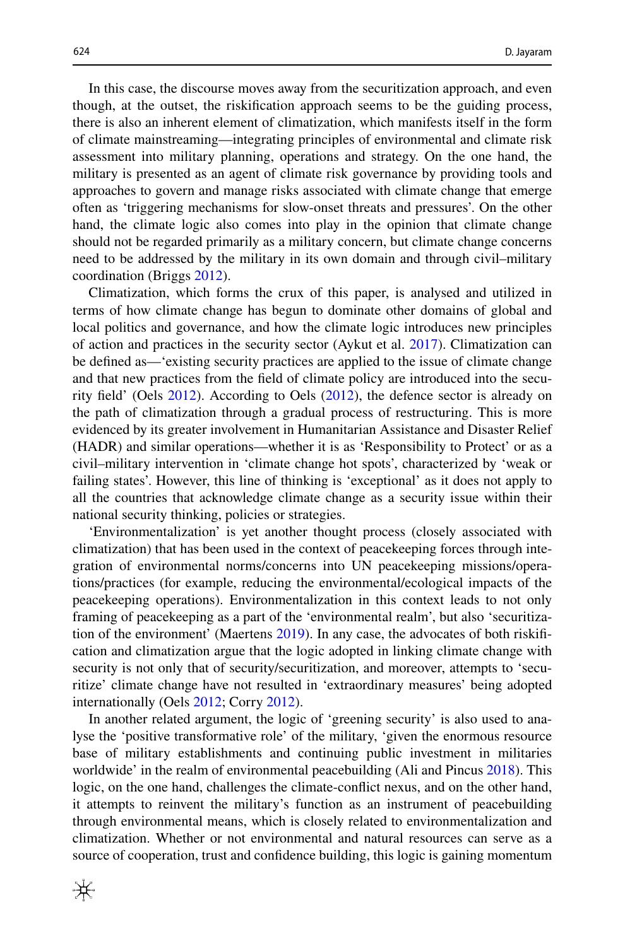In this case, the discourse moves away from the securitization approach, and even though, at the outset, the riskifcation approach seems to be the guiding process, there is also an inherent element of climatization, which manifests itself in the form of climate mainstreaming—integrating principles of environmental and climate risk assessment into military planning, operations and strategy. On the one hand, the military is presented as an agent of climate risk governance by providing tools and approaches to govern and manage risks associated with climate change that emerge often as 'triggering mechanisms for slow-onset threats and pressures'. On the other hand, the climate logic also comes into play in the opinion that climate change should not be regarded primarily as a military concern, but climate change concerns need to be addressed by the military in its own domain and through civil–military coordination (Briggs [2012\)](#page-17-5).

Climatization, which forms the crux of this paper, is analysed and utilized in terms of how climate change has begun to dominate other domains of global and local politics and governance, and how the climate logic introduces new principles of action and practices in the security sector (Aykut et al. [2017](#page-17-6)). Climatization can be defned as—'existing security practices are applied to the issue of climate change and that new practices from the feld of climate policy are introduced into the security feld' (Oels [2012](#page-19-4)). According to Oels [\(2012](#page-19-4)), the defence sector is already on the path of climatization through a gradual process of restructuring. This is more evidenced by its greater involvement in Humanitarian Assistance and Disaster Relief (HADR) and similar operations—whether it is as 'Responsibility to Protect' or as a civil–military intervention in 'climate change hot spots', characterized by 'weak or failing states'. However, this line of thinking is 'exceptional' as it does not apply to all the countries that acknowledge climate change as a security issue within their national security thinking, policies or strategies.

'Environmentalization' is yet another thought process (closely associated with climatization) that has been used in the context of peacekeeping forces through integration of environmental norms/concerns into UN peacekeeping missions/operations/practices (for example, reducing the environmental/ecological impacts of the peacekeeping operations). Environmentalization in this context leads to not only framing of peacekeeping as a part of the 'environmental realm', but also 'securitization of the environment' (Maertens [2019\)](#page-18-13). In any case, the advocates of both riskifcation and climatization argue that the logic adopted in linking climate change with security is not only that of security/securitization, and moreover, attempts to 'securitize' climate change have not resulted in 'extraordinary measures' being adopted internationally (Oels [2012](#page-19-4); Corry [2012\)](#page-18-11).

In another related argument, the logic of 'greening security' is also used to analyse the 'positive transformative role' of the military, 'given the enormous resource base of military establishments and continuing public investment in militaries worldwide' in the realm of environmental peacebuilding (Ali and Pincus [2018](#page-17-7)). This logic, on the one hand, challenges the climate-confict nexus, and on the other hand, it attempts to reinvent the military's function as an instrument of peacebuilding through environmental means, which is closely related to environmentalization and climatization. Whether or not environmental and natural resources can serve as a source of cooperation, trust and confdence building, this logic is gaining momentum

₩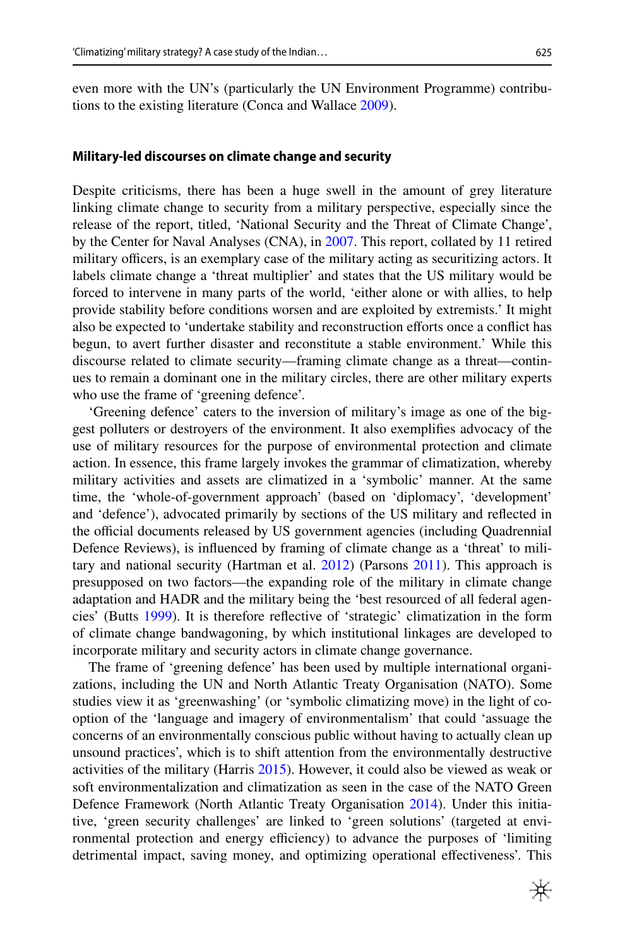even more with the UN's (particularly the UN Environment Programme) contributions to the existing literature (Conca and Wallace [2009](#page-18-14)).

#### **Military‑led discourses on climate change and security**

Despite criticisms, there has been a huge swell in the amount of grey literature linking climate change to security from a military perspective, especially since the release of the report, titled, 'National Security and the Threat of Climate Change', by the Center for Naval Analyses (CNA), in [2007.](#page-17-8) This report, collated by 11 retired military officers, is an exemplary case of the military acting as securitizing actors. It labels climate change a 'threat multiplier' and states that the US military would be forced to intervene in many parts of the world, 'either alone or with allies, to help provide stability before conditions worsen and are exploited by extremists.' It might also be expected to 'undertake stability and reconstruction eforts once a confict has begun, to avert further disaster and reconstitute a stable environment.' While this discourse related to climate security—framing climate change as a threat—continues to remain a dominant one in the military circles, there are other military experts who use the frame of 'greening defence'.

'Greening defence' caters to the inversion of military's image as one of the biggest polluters or destroyers of the environment. It also exemplifes advocacy of the use of military resources for the purpose of environmental protection and climate action. In essence, this frame largely invokes the grammar of climatization, whereby military activities and assets are climatized in a 'symbolic' manner. At the same time, the 'whole-of-government approach' (based on 'diplomacy', 'development' and 'defence'), advocated primarily by sections of the US military and refected in the official documents released by US government agencies (including Quadrennial Defence Reviews), is infuenced by framing of climate change as a 'threat' to military and national security (Hartman et al. [2012\)](#page-18-15) (Parsons [2011\)](#page-19-5). This approach is presupposed on two factors—the expanding role of the military in climate change adaptation and HADR and the military being the 'best resourced of all federal agencies' (Butts [1999](#page-17-9)). It is therefore refective of 'strategic' climatization in the form of climate change bandwagoning, by which institutional linkages are developed to incorporate military and security actors in climate change governance.

The frame of 'greening defence' has been used by multiple international organizations, including the UN and North Atlantic Treaty Organisation (NATO). Some studies view it as 'greenwashing' (or 'symbolic climatizing move) in the light of cooption of the 'language and imagery of environmentalism' that could 'assuage the concerns of an environmentally conscious public without having to actually clean up unsound practices', which is to shift attention from the environmentally destructive activities of the military (Harris [2015\)](#page-18-16). However, it could also be viewed as weak or soft environmentalization and climatization as seen in the case of the NATO Green Defence Framework (North Atlantic Treaty Organisation [2014](#page-19-6)). Under this initiative, 'green security challenges' are linked to 'green solutions' (targeted at environmental protection and energy efficiency) to advance the purposes of 'limiting detrimental impact, saving money, and optimizing operational efectiveness'. This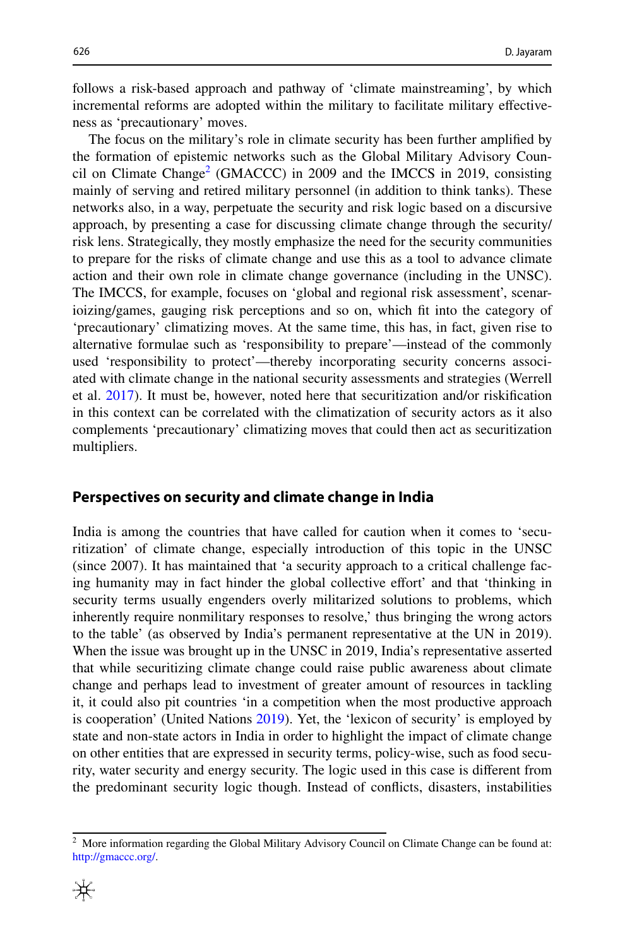follows a risk-based approach and pathway of 'climate mainstreaming', by which incremental reforms are adopted within the military to facilitate military efectiveness as 'precautionary' moves.

The focus on the military's role in climate security has been further amplifed by the formation of epistemic networks such as the Global Military Advisory Coun-cil on Climate Change<sup>[2](#page-7-0)</sup> (GMACCC) in 2009 and the IMCCS in 2019, consisting mainly of serving and retired military personnel (in addition to think tanks). These networks also, in a way, perpetuate the security and risk logic based on a discursive approach, by presenting a case for discussing climate change through the security/ risk lens. Strategically, they mostly emphasize the need for the security communities to prepare for the risks of climate change and use this as a tool to advance climate action and their own role in climate change governance (including in the UNSC). The IMCCS, for example, focuses on 'global and regional risk assessment', scenarioizing/games, gauging risk perceptions and so on, which ft into the category of 'precautionary' climatizing moves. At the same time, this has, in fact, given rise to alternative formulae such as 'responsibility to prepare'—instead of the commonly used 'responsibility to protect'—thereby incorporating security concerns associated with climate change in the national security assessments and strategies (Werrell et al. [2017](#page-20-2)). It must be, however, noted here that securitization and/or riskifcation in this context can be correlated with the climatization of security actors as it also complements 'precautionary' climatizing moves that could then act as securitization multipliers.

## **Perspectives on security and climate change in India**

India is among the countries that have called for caution when it comes to 'securitization' of climate change, especially introduction of this topic in the UNSC (since 2007). It has maintained that 'a security approach to a critical challenge facing humanity may in fact hinder the global collective efort' and that 'thinking in security terms usually engenders overly militarized solutions to problems, which inherently require nonmilitary responses to resolve,' thus bringing the wrong actors to the table' (as observed by India's permanent representative at the UN in 2019). When the issue was brought up in the UNSC in 2019, India's representative asserted that while securitizing climate change could raise public awareness about climate change and perhaps lead to investment of greater amount of resources in tackling it, it could also pit countries 'in a competition when the most productive approach is cooperation' (United Nations [2019](#page-20-3)). Yet, the 'lexicon of security' is employed by state and non-state actors in India in order to highlight the impact of climate change on other entities that are expressed in security terms, policy-wise, such as food security, water security and energy security. The logic used in this case is diferent from the predominant security logic though. Instead of conficts, disasters, instabilities

<span id="page-7-0"></span><sup>&</sup>lt;sup>2</sup> More information regarding the Global Military Advisory Council on Climate Change can be found at: <http://gmaccc.org/>.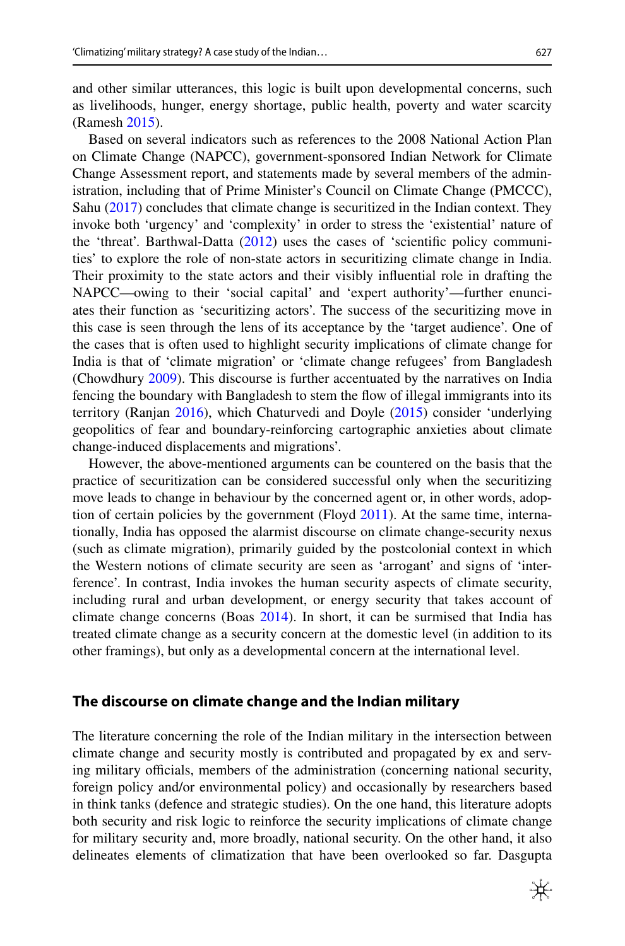and other similar utterances, this logic is built upon developmental concerns, such as livelihoods, hunger, energy shortage, public health, poverty and water scarcity (Ramesh [2015](#page-19-7)).

Based on several indicators such as references to the 2008 National Action Plan on Climate Change (NAPCC), government-sponsored Indian Network for Climate Change Assessment report, and statements made by several members of the administration, including that of Prime Minister's Council on Climate Change (PMCCC), Sahu ([2017\)](#page-19-8) concludes that climate change is securitized in the Indian context. They invoke both 'urgency' and 'complexity' in order to stress the 'existential' nature of the 'threat'. Barthwal-Datta ([2012\)](#page-17-10) uses the cases of 'scientifc policy communities' to explore the role of non-state actors in securitizing climate change in India. Their proximity to the state actors and their visibly infuential role in drafting the NAPCC—owing to their 'social capital' and 'expert authority'—further enunciates their function as 'securitizing actors'. The success of the securitizing move in this case is seen through the lens of its acceptance by the 'target audience'. One of the cases that is often used to highlight security implications of climate change for India is that of 'climate migration' or 'climate change refugees' from Bangladesh (Chowdhury [2009](#page-18-17)). This discourse is further accentuated by the narratives on India fencing the boundary with Bangladesh to stem the fow of illegal immigrants into its territory (Ranjan [2016](#page-19-9)), which Chaturvedi and Doyle ([2015\)](#page-18-7) consider 'underlying geopolitics of fear and boundary-reinforcing cartographic anxieties about climate change-induced displacements and migrations'.

However, the above-mentioned arguments can be countered on the basis that the practice of securitization can be considered successful only when the securitizing move leads to change in behaviour by the concerned agent or, in other words, adoption of certain policies by the government (Floyd [2011](#page-18-18)). At the same time, internationally, India has opposed the alarmist discourse on climate change-security nexus (such as climate migration), primarily guided by the postcolonial context in which the Western notions of climate security are seen as 'arrogant' and signs of 'interference'. In contrast, India invokes the human security aspects of climate security, including rural and urban development, or energy security that takes account of climate change concerns (Boas [2014\)](#page-17-11). In short, it can be surmised that India has treated climate change as a security concern at the domestic level (in addition to its other framings), but only as a developmental concern at the international level.

## **The discourse on climate change and the Indian military**

The literature concerning the role of the Indian military in the intersection between climate change and security mostly is contributed and propagated by ex and serving military officials, members of the administration (concerning national security, foreign policy and/or environmental policy) and occasionally by researchers based in think tanks (defence and strategic studies). On the one hand, this literature adopts both security and risk logic to reinforce the security implications of climate change for military security and, more broadly, national security. On the other hand, it also delineates elements of climatization that have been overlooked so far. Dasgupta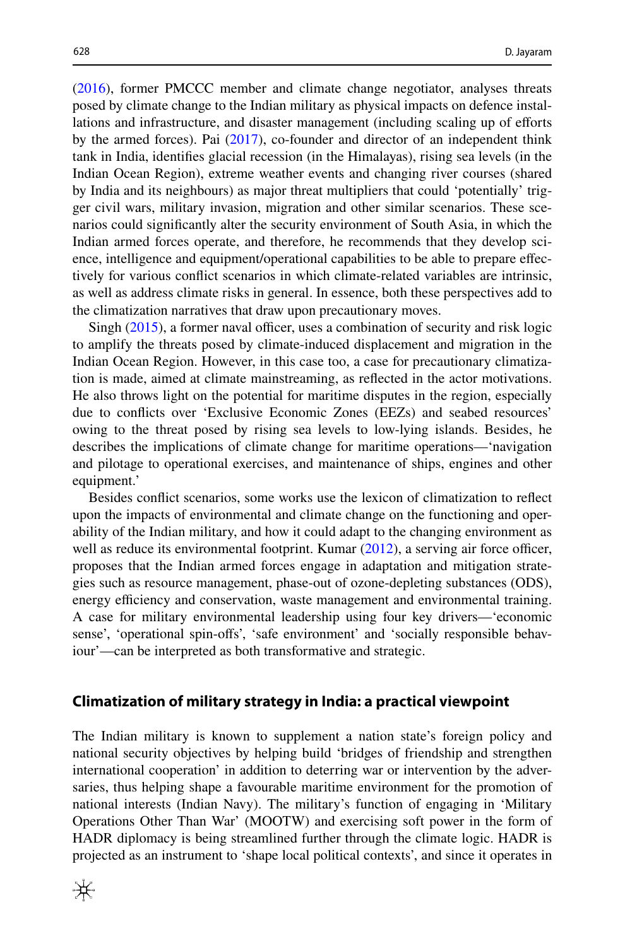[\(2016](#page-18-19)), former PMCCC member and climate change negotiator, analyses threats posed by climate change to the Indian military as physical impacts on defence installations and infrastructure, and disaster management (including scaling up of eforts by the armed forces). Pai ([2017\)](#page-19-10), co-founder and director of an independent think tank in India, identifes glacial recession (in the Himalayas), rising sea levels (in the Indian Ocean Region), extreme weather events and changing river courses (shared by India and its neighbours) as major threat multipliers that could 'potentially' trigger civil wars, military invasion, migration and other similar scenarios. These scenarios could signifcantly alter the security environment of South Asia, in which the Indian armed forces operate, and therefore, he recommends that they develop science, intelligence and equipment/operational capabilities to be able to prepare efectively for various confict scenarios in which climate-related variables are intrinsic, as well as address climate risks in general. In essence, both these perspectives add to the climatization narratives that draw upon precautionary moves.

Singh  $(2015)$  $(2015)$ , a former naval officer, uses a combination of security and risk logic to amplify the threats posed by climate-induced displacement and migration in the Indian Ocean Region. However, in this case too, a case for precautionary climatization is made, aimed at climate mainstreaming, as refected in the actor motivations. He also throws light on the potential for maritime disputes in the region, especially due to conficts over 'Exclusive Economic Zones (EEZs) and seabed resources' owing to the threat posed by rising sea levels to low-lying islands. Besides, he describes the implications of climate change for maritime operations—'navigation and pilotage to operational exercises, and maintenance of ships, engines and other equipment.'

Besides confict scenarios, some works use the lexicon of climatization to refect upon the impacts of environmental and climate change on the functioning and operability of the Indian military, and how it could adapt to the changing environment as well as reduce its environmental footprint. Kumar  $(2012)$  $(2012)$ , a serving air force officer, proposes that the Indian armed forces engage in adaptation and mitigation strategies such as resource management, phase-out of ozone-depleting substances (ODS), energy efficiency and conservation, waste management and environmental training. A case for military environmental leadership using four key drivers—'economic sense', 'operational spin-ofs', 'safe environment' and 'socially responsible behaviour'—can be interpreted as both transformative and strategic.

### **Climatization of military strategy in India: a practical viewpoint**

The Indian military is known to supplement a nation state's foreign policy and national security objectives by helping build 'bridges of friendship and strengthen international cooperation' in addition to deterring war or intervention by the adversaries, thus helping shape a favourable maritime environment for the promotion of national interests (Indian Navy). The military's function of engaging in 'Military Operations Other Than War' (MOOTW) and exercising soft power in the form of HADR diplomacy is being streamlined further through the climate logic. HADR is projected as an instrument to 'shape local political contexts', and since it operates in

₩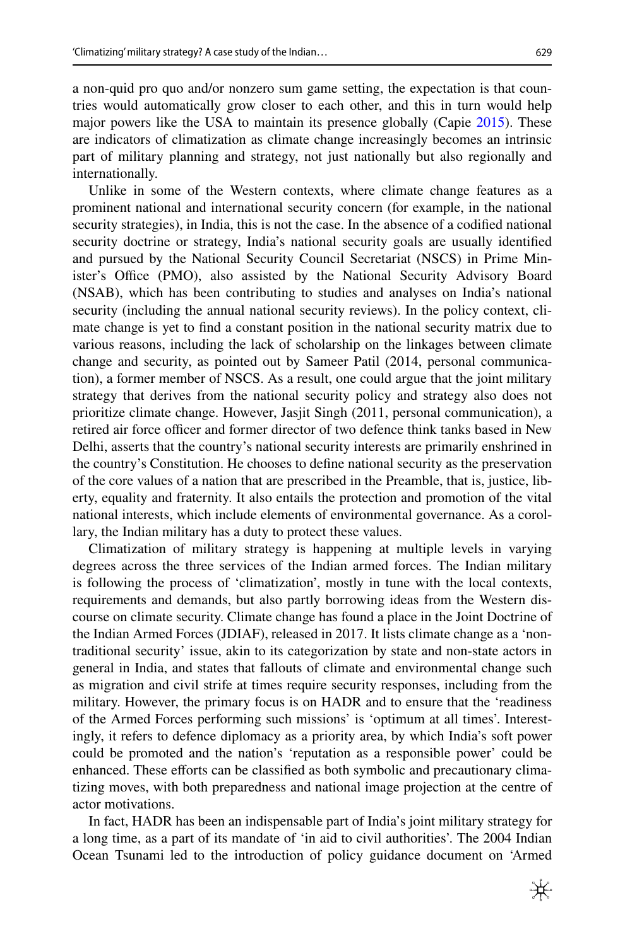a non-quid pro quo and/or nonzero sum game setting, the expectation is that countries would automatically grow closer to each other, and this in turn would help major powers like the USA to maintain its presence globally (Capie [2015](#page-17-12)). These are indicators of climatization as climate change increasingly becomes an intrinsic part of military planning and strategy, not just nationally but also regionally and internationally.

Unlike in some of the Western contexts, where climate change features as a prominent national and international security concern (for example, in the national security strategies), in India, this is not the case. In the absence of a codifed national security doctrine or strategy, India's national security goals are usually identifed and pursued by the National Security Council Secretariat (NSCS) in Prime Minister's Office (PMO), also assisted by the National Security Advisory Board (NSAB), which has been contributing to studies and analyses on India's national security (including the annual national security reviews). In the policy context, climate change is yet to fnd a constant position in the national security matrix due to various reasons, including the lack of scholarship on the linkages between climate change and security, as pointed out by Sameer Patil (2014, personal communication), a former member of NSCS. As a result, one could argue that the joint military strategy that derives from the national security policy and strategy also does not prioritize climate change. However, Jasjit Singh (2011, personal communication), a retired air force officer and former director of two defence think tanks based in New Delhi, asserts that the country's national security interests are primarily enshrined in the country's Constitution. He chooses to defne national security as the preservation of the core values of a nation that are prescribed in the Preamble, that is, justice, liberty, equality and fraternity. It also entails the protection and promotion of the vital national interests, which include elements of environmental governance. As a corollary, the Indian military has a duty to protect these values.

Climatization of military strategy is happening at multiple levels in varying degrees across the three services of the Indian armed forces. The Indian military is following the process of 'climatization', mostly in tune with the local contexts, requirements and demands, but also partly borrowing ideas from the Western discourse on climate security. Climate change has found a place in the Joint Doctrine of the Indian Armed Forces (JDIAF), released in 2017. It lists climate change as a 'nontraditional security' issue, akin to its categorization by state and non-state actors in general in India, and states that fallouts of climate and environmental change such as migration and civil strife at times require security responses, including from the military. However, the primary focus is on HADR and to ensure that the 'readiness of the Armed Forces performing such missions' is 'optimum at all times'. Interestingly, it refers to defence diplomacy as a priority area, by which India's soft power could be promoted and the nation's 'reputation as a responsible power' could be enhanced. These efforts can be classified as both symbolic and precautionary climatizing moves, with both preparedness and national image projection at the centre of actor motivations.

In fact, HADR has been an indispensable part of India's joint military strategy for a long time, as a part of its mandate of 'in aid to civil authorities'. The 2004 Indian Ocean Tsunami led to the introduction of policy guidance document on 'Armed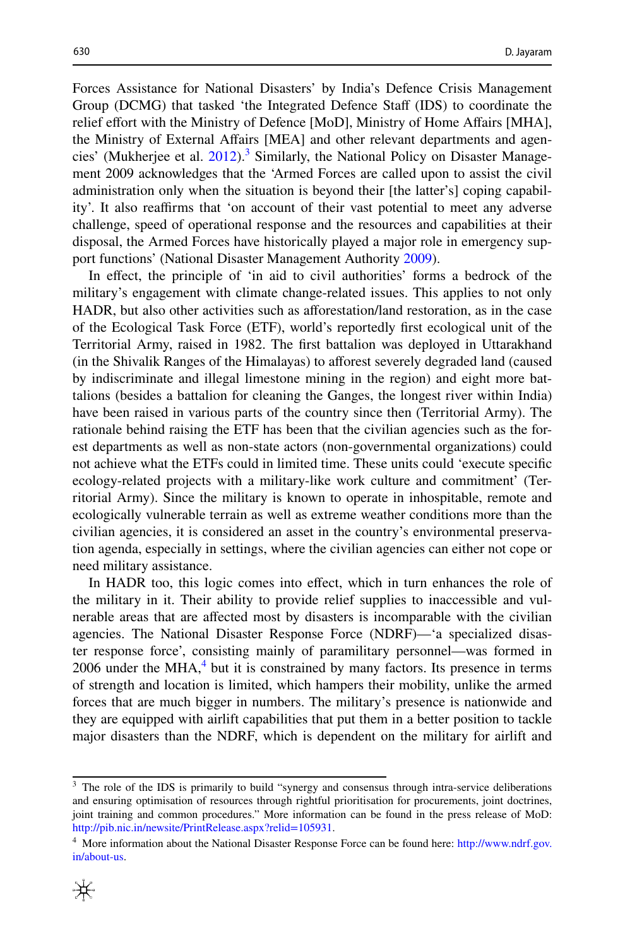Forces Assistance for National Disasters' by India's Defence Crisis Management Group (DCMG) that tasked 'the Integrated Defence Staff (IDS) to coordinate the relief efort with the Ministry of Defence [MoD], Ministry of Home Afairs [MHA], the Ministry of External Afairs [MEA] and other relevant departments and agencies' (Mukherjee et al.  $2012$ ).<sup>[3](#page-11-0)</sup> Similarly, the National Policy on Disaster Management 2009 acknowledges that the 'Armed Forces are called upon to assist the civil administration only when the situation is beyond their [the latter's] coping capability'. It also reaffirms that 'on account of their vast potential to meet any adverse challenge, speed of operational response and the resources and capabilities at their disposal, the Armed Forces have historically played a major role in emergency support functions' (National Disaster Management Authority [2009\)](#page-19-13).

In efect, the principle of 'in aid to civil authorities' forms a bedrock of the military's engagement with climate change-related issues. This applies to not only HADR, but also other activities such as aforestation/land restoration, as in the case of the Ecological Task Force (ETF), world's reportedly frst ecological unit of the Territorial Army, raised in 1982. The frst battalion was deployed in Uttarakhand (in the Shivalik Ranges of the Himalayas) to aforest severely degraded land (caused by indiscriminate and illegal limestone mining in the region) and eight more battalions (besides a battalion for cleaning the Ganges, the longest river within India) have been raised in various parts of the country since then (Territorial Army). The rationale behind raising the ETF has been that the civilian agencies such as the forest departments as well as non-state actors (non-governmental organizations) could not achieve what the ETFs could in limited time. These units could 'execute specifc ecology-related projects with a military-like work culture and commitment' (Territorial Army). Since the military is known to operate in inhospitable, remote and ecologically vulnerable terrain as well as extreme weather conditions more than the civilian agencies, it is considered an asset in the country's environmental preservation agenda, especially in settings, where the civilian agencies can either not cope or need military assistance.

In HADR too, this logic comes into effect, which in turn enhances the role of the military in it. Their ability to provide relief supplies to inaccessible and vulnerable areas that are afected most by disasters is incomparable with the civilian agencies. The National Disaster Response Force (NDRF)—'a specialized disaster response force', consisting mainly of paramilitary personnel—was formed in  $2006$  under the MHA, $4$  but it is constrained by many factors. Its presence in terms of strength and location is limited, which hampers their mobility, unlike the armed forces that are much bigger in numbers. The military's presence is nationwide and they are equipped with airlift capabilities that put them in a better position to tackle major disasters than the NDRF, which is dependent on the military for airlift and

<span id="page-11-0"></span><sup>&</sup>lt;sup>3</sup> The role of the IDS is primarily to build "synergy and consensus through intra-service deliberations and ensuring optimisation of resources through rightful prioritisation for procurements, joint doctrines, joint training and common procedures." More information can be found in the press release of MoD: [http://pib.nic.in/newsite/PrintRelease.aspx?relid=105931.](http://pib.nic.in/newsite/PrintRelease.aspx?relid=105931)

<span id="page-11-1"></span><sup>&</sup>lt;sup>4</sup> More information about the National Disaster Response Force can be found here: [http://www.ndrf.gov.](http://www.ndrf.gov.in/about-us) [in/about-us](http://www.ndrf.gov.in/about-us).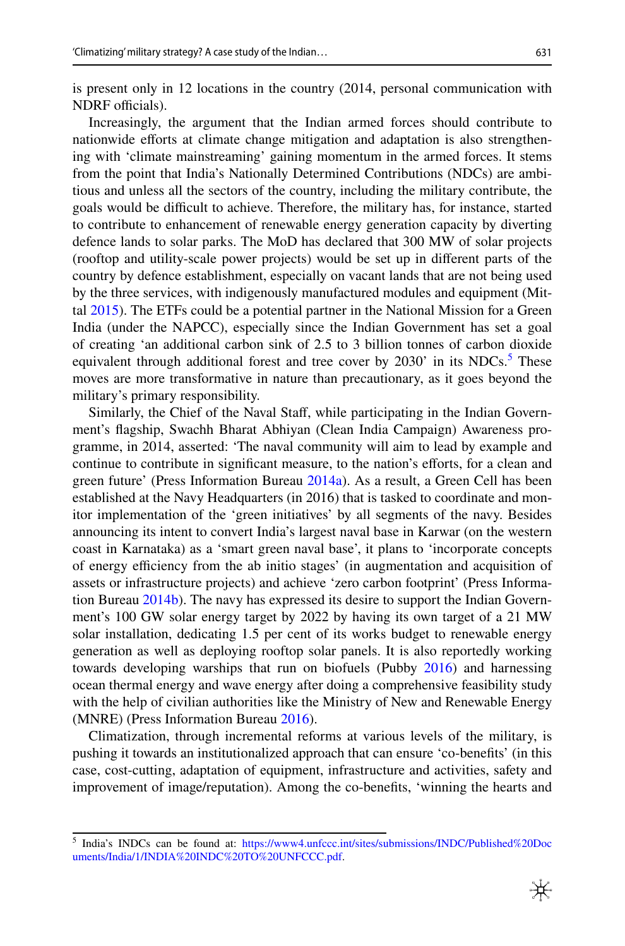is present only in 12 locations in the country (2014, personal communication with NDRF officials).

Increasingly, the argument that the Indian armed forces should contribute to nationwide eforts at climate change mitigation and adaptation is also strengthening with 'climate mainstreaming' gaining momentum in the armed forces. It stems from the point that India's Nationally Determined Contributions (NDCs) are ambitious and unless all the sectors of the country, including the military contribute, the goals would be difcult to achieve. Therefore, the military has, for instance, started to contribute to enhancement of renewable energy generation capacity by diverting defence lands to solar parks. The MoD has declared that 300 MW of solar projects (rooftop and utility-scale power projects) would be set up in diferent parts of the country by defence establishment, especially on vacant lands that are not being used by the three services, with indigenously manufactured modules and equipment (Mittal [2015\)](#page-18-21). The ETFs could be a potential partner in the National Mission for a Green India (under the NAPCC), especially since the Indian Government has set a goal of creating 'an additional carbon sink of 2.5 to 3 billion tonnes of carbon dioxide equivalent through additional forest and tree cover by 2030' in its NDCs.<sup>[5](#page-12-0)</sup> These moves are more transformative in nature than precautionary, as it goes beyond the military's primary responsibility.

Similarly, the Chief of the Naval Staf, while participating in the Indian Government's fagship, Swachh Bharat Abhiyan (Clean India Campaign) Awareness programme, in 2014, asserted: 'The naval community will aim to lead by example and continue to contribute in signifcant measure, to the nation's eforts, for a clean and green future' (Press Information Bureau [2014a\)](#page-19-14). As a result, a Green Cell has been established at the Navy Headquarters (in 2016) that is tasked to coordinate and monitor implementation of the 'green initiatives' by all segments of the navy. Besides announcing its intent to convert India's largest naval base in Karwar (on the western coast in Karnataka) as a 'smart green naval base', it plans to 'incorporate concepts of energy efficiency from the ab initio stages' (in augmentation and acquisition of assets or infrastructure projects) and achieve 'zero carbon footprint' (Press Information Bureau [2014b](#page-19-15)). The navy has expressed its desire to support the Indian Government's 100 GW solar energy target by 2022 by having its own target of a 21 MW solar installation, dedicating 1.5 per cent of its works budget to renewable energy generation as well as deploying rooftop solar panels. It is also reportedly working towards developing warships that run on biofuels (Pubby [2016](#page-19-16)) and harnessing ocean thermal energy and wave energy after doing a comprehensive feasibility study with the help of civilian authorities like the Ministry of New and Renewable Energy (MNRE) (Press Information Bureau [2016\)](#page-19-17).

Climatization, through incremental reforms at various levels of the military, is pushing it towards an institutionalized approach that can ensure 'co-benefts' (in this case, cost-cutting, adaptation of equipment, infrastructure and activities, safety and improvement of image/reputation). Among the co-benefts, 'winning the hearts and

<span id="page-12-0"></span><sup>5</sup> India's INDCs can be found at: [https://www4.unfccc.int/sites/submissions/INDC/Published%20Doc](https://www4.unfccc.int/sites/submissions/INDC/Published%20Documents/India/1/INDIA%20INDC%20TO%20UNFCCC.pdf) [uments/India/1/INDIA%20INDC%20TO%20UNFCCC.pdf.](https://www4.unfccc.int/sites/submissions/INDC/Published%20Documents/India/1/INDIA%20INDC%20TO%20UNFCCC.pdf)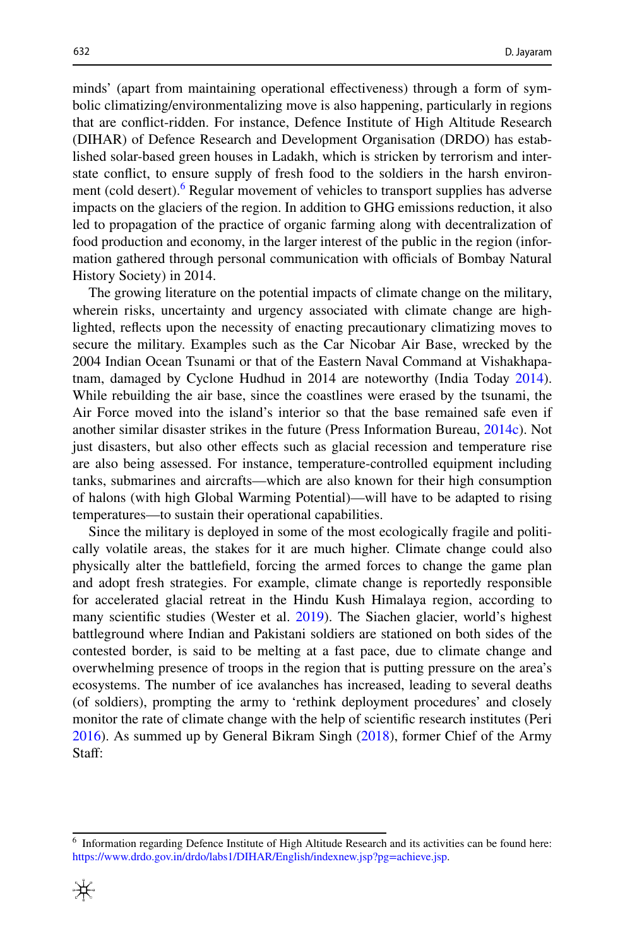minds' (apart from maintaining operational efectiveness) through a form of symbolic climatizing/environmentalizing move is also happening, particularly in regions that are confict-ridden. For instance, Defence Institute of High Altitude Research (DIHAR) of Defence Research and Development Organisation (DRDO) has established solar-based green houses in Ladakh, which is stricken by terrorism and interstate confict, to ensure supply of fresh food to the soldiers in the harsh environ-ment (cold desert).<sup>[6](#page-13-0)</sup> Regular movement of vehicles to transport supplies has adverse impacts on the glaciers of the region. In addition to GHG emissions reduction, it also led to propagation of the practice of organic farming along with decentralization of food production and economy, in the larger interest of the public in the region (information gathered through personal communication with officials of Bombay Natural History Society) in 2014.

The growing literature on the potential impacts of climate change on the military, wherein risks, uncertainty and urgency associated with climate change are highlighted, refects upon the necessity of enacting precautionary climatizing moves to secure the military. Examples such as the Car Nicobar Air Base, wrecked by the 2004 Indian Ocean Tsunami or that of the Eastern Naval Command at Vishakhapatnam, damaged by Cyclone Hudhud in 2014 are noteworthy (India Today [2014\)](#page-18-22). While rebuilding the air base, since the coastlines were erased by the tsunami, the Air Force moved into the island's interior so that the base remained safe even if another similar disaster strikes in the future (Press Information Bureau, [2014c\)](#page-19-18). Not just disasters, but also other efects such as glacial recession and temperature rise are also being assessed. For instance, temperature-controlled equipment including tanks, submarines and aircrafts—which are also known for their high consumption of halons (with high Global Warming Potential)—will have to be adapted to rising temperatures—to sustain their operational capabilities.

Since the military is deployed in some of the most ecologically fragile and politically volatile areas, the stakes for it are much higher. Climate change could also physically alter the battlefeld, forcing the armed forces to change the game plan and adopt fresh strategies. For example, climate change is reportedly responsible for accelerated glacial retreat in the Hindu Kush Himalaya region, according to many scientific studies (Wester et al. [2019](#page-20-4)). The Siachen glacier, world's highest battleground where Indian and Pakistani soldiers are stationed on both sides of the contested border, is said to be melting at a fast pace, due to climate change and overwhelming presence of troops in the region that is putting pressure on the area's ecosystems. The number of ice avalanches has increased, leading to several deaths (of soldiers), prompting the army to 'rethink deployment procedures' and closely monitor the rate of climate change with the help of scientifc research institutes (Peri [2016](#page-19-19)). As summed up by General Bikram Singh [\(2018](#page-19-20)), former Chief of the Army Staff:

<span id="page-13-0"></span><sup>&</sup>lt;sup>6</sup> Information regarding Defence Institute of High Altitude Research and its activities can be found here: <https://www.drdo.gov.in/drdo/labs1/DIHAR/English/indexnew.jsp?pg=achieve.jsp>.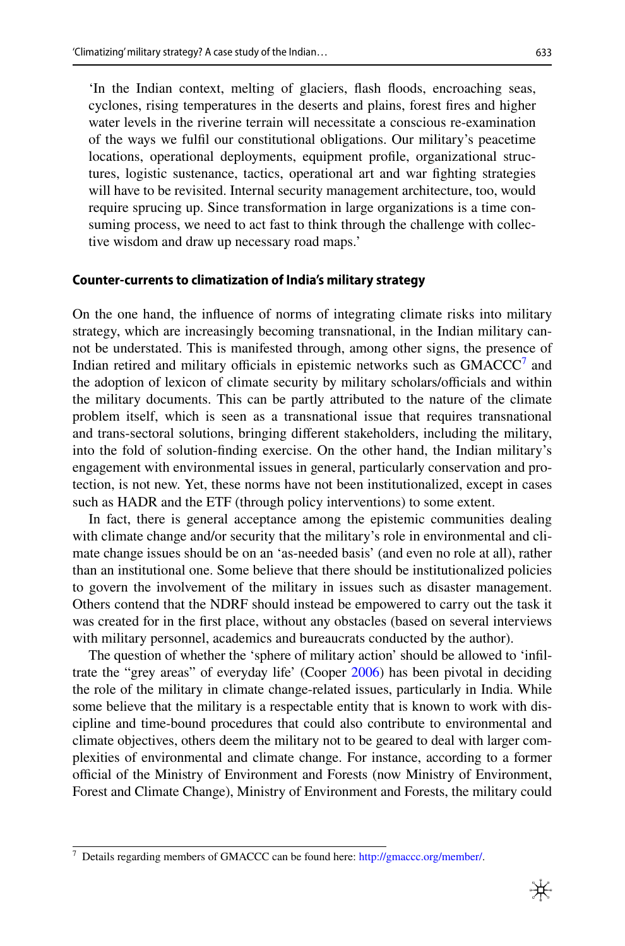'In the Indian context, melting of glaciers, flash floods, encroaching seas, cyclones, rising temperatures in the deserts and plains, forest fres and higher water levels in the riverine terrain will necessitate a conscious re-examination of the ways we fulfl our constitutional obligations. Our military's peacetime locations, operational deployments, equipment profle, organizational structures, logistic sustenance, tactics, operational art and war fghting strategies will have to be revisited. Internal security management architecture, too, would require sprucing up. Since transformation in large organizations is a time consuming process, we need to act fast to think through the challenge with collective wisdom and draw up necessary road maps.'

#### **Counter‑currents to climatization of India's military strategy**

On the one hand, the infuence of norms of integrating climate risks into military strategy, which are increasingly becoming transnational, in the Indian military cannot be understated. This is manifested through, among other signs, the presence of Indian retired and military officials in epistemic networks such as  $GMACCC<sup>7</sup>$  $GMACCC<sup>7</sup>$  $GMACCC<sup>7</sup>$  and the adoption of lexicon of climate security by military scholars/officials and within the military documents. This can be partly attributed to the nature of the climate problem itself, which is seen as a transnational issue that requires transnational and trans-sectoral solutions, bringing diferent stakeholders, including the military, into the fold of solution-fnding exercise. On the other hand, the Indian military's engagement with environmental issues in general, particularly conservation and protection, is not new. Yet, these norms have not been institutionalized, except in cases such as HADR and the ETF (through policy interventions) to some extent.

In fact, there is general acceptance among the epistemic communities dealing with climate change and/or security that the military's role in environmental and climate change issues should be on an 'as-needed basis' (and even no role at all), rather than an institutional one. Some believe that there should be institutionalized policies to govern the involvement of the military in issues such as disaster management. Others contend that the NDRF should instead be empowered to carry out the task it was created for in the frst place, without any obstacles (based on several interviews with military personnel, academics and bureaucrats conducted by the author).

The question of whether the 'sphere of military action' should be allowed to 'infltrate the "grey areas" of everyday life' (Cooper [2006\)](#page-18-23) has been pivotal in deciding the role of the military in climate change-related issues, particularly in India. While some believe that the military is a respectable entity that is known to work with discipline and time-bound procedures that could also contribute to environmental and climate objectives, others deem the military not to be geared to deal with larger complexities of environmental and climate change. For instance, according to a former official of the Ministry of Environment and Forests (now Ministry of Environment, Forest and Climate Change), Ministry of Environment and Forests, the military could

<span id="page-14-0"></span><sup>7</sup> Details regarding members of GMACCC can be found here: <http://gmaccc.org/member/>.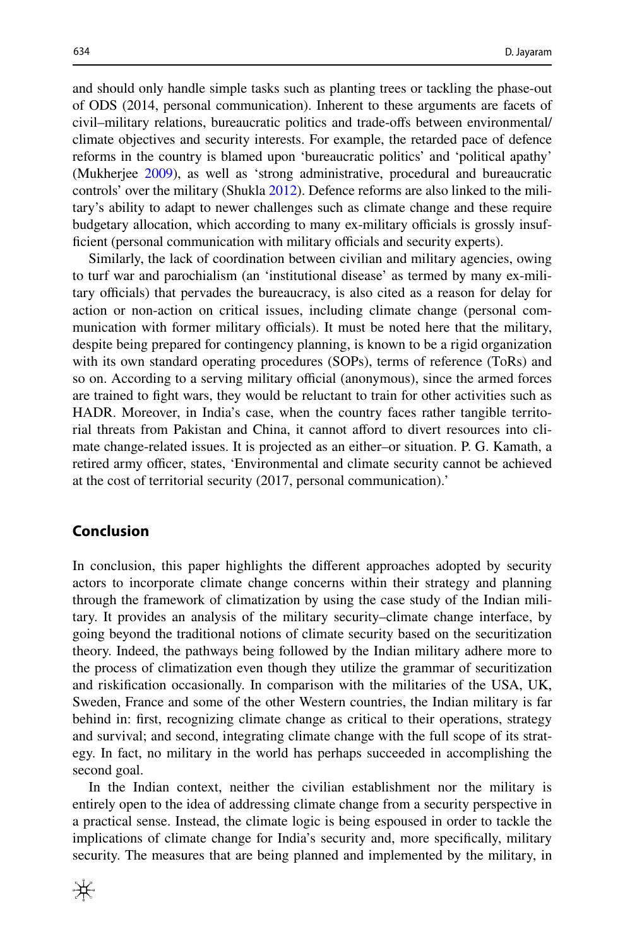and should only handle simple tasks such as planting trees or tackling the phase-out of ODS (2014, personal communication). Inherent to these arguments are facets of civil–military relations, bureaucratic politics and trade-ofs between environmental/ climate objectives and security interests. For example, the retarded pace of defence reforms in the country is blamed upon 'bureaucratic politics' and 'political apathy' (Mukherjee [2009\)](#page-18-24), as well as 'strong administrative, procedural and bureaucratic controls' over the military (Shukla [2012\)](#page-19-21). Defence reforms are also linked to the military's ability to adapt to newer challenges such as climate change and these require budgetary allocation, which according to many ex-military officials is grossly insufficient (personal communication with military officials and security experts).

Similarly, the lack of coordination between civilian and military agencies, owing to turf war and parochialism (an 'institutional disease' as termed by many ex-military officials) that pervades the bureaucracy, is also cited as a reason for delay for action or non-action on critical issues, including climate change (personal communication with former military officials). It must be noted here that the military, despite being prepared for contingency planning, is known to be a rigid organization with its own standard operating procedures (SOPs), terms of reference (ToRs) and so on. According to a serving military official (anonymous), since the armed forces are trained to fght wars, they would be reluctant to train for other activities such as HADR. Moreover, in India's case, when the country faces rather tangible territorial threats from Pakistan and China, it cannot aford to divert resources into climate change-related issues. It is projected as an either–or situation. P. G. Kamath, a retired army officer, states, 'Environmental and climate security cannot be achieved at the cost of territorial security (2017, personal communication).'

## **Conclusion**

In conclusion, this paper highlights the diferent approaches adopted by security actors to incorporate climate change concerns within their strategy and planning through the framework of climatization by using the case study of the Indian military. It provides an analysis of the military security–climate change interface, by going beyond the traditional notions of climate security based on the securitization theory. Indeed, the pathways being followed by the Indian military adhere more to the process of climatization even though they utilize the grammar of securitization and riskifcation occasionally. In comparison with the militaries of the USA, UK, Sweden, France and some of the other Western countries, the Indian military is far behind in: frst, recognizing climate change as critical to their operations, strategy and survival; and second, integrating climate change with the full scope of its strategy. In fact, no military in the world has perhaps succeeded in accomplishing the second goal.

In the Indian context, neither the civilian establishment nor the military is entirely open to the idea of addressing climate change from a security perspective in a practical sense. Instead, the climate logic is being espoused in order to tackle the implications of climate change for India's security and, more specifcally, military security. The measures that are being planned and implemented by the military, in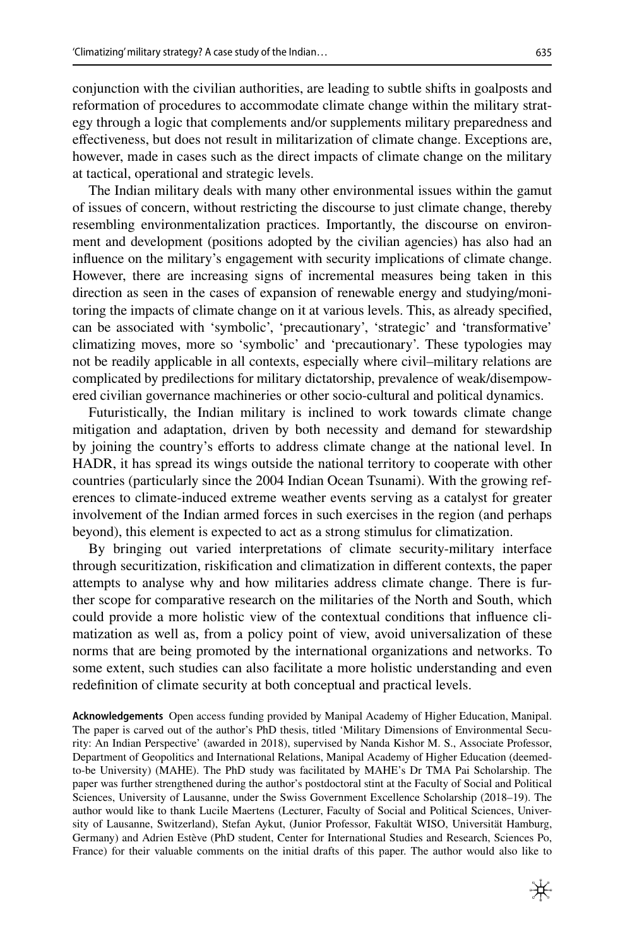conjunction with the civilian authorities, are leading to subtle shifts in goalposts and reformation of procedures to accommodate climate change within the military strategy through a logic that complements and/or supplements military preparedness and efectiveness, but does not result in militarization of climate change. Exceptions are, however, made in cases such as the direct impacts of climate change on the military at tactical, operational and strategic levels.

The Indian military deals with many other environmental issues within the gamut of issues of concern, without restricting the discourse to just climate change, thereby resembling environmentalization practices. Importantly, the discourse on environment and development (positions adopted by the civilian agencies) has also had an infuence on the military's engagement with security implications of climate change. However, there are increasing signs of incremental measures being taken in this direction as seen in the cases of expansion of renewable energy and studying/monitoring the impacts of climate change on it at various levels. This, as already specifed, can be associated with 'symbolic', 'precautionary', 'strategic' and 'transformative' climatizing moves, more so 'symbolic' and 'precautionary'. These typologies may not be readily applicable in all contexts, especially where civil–military relations are complicated by predilections for military dictatorship, prevalence of weak/disempowered civilian governance machineries or other socio-cultural and political dynamics.

Futuristically, the Indian military is inclined to work towards climate change mitigation and adaptation, driven by both necessity and demand for stewardship by joining the country's eforts to address climate change at the national level. In HADR, it has spread its wings outside the national territory to cooperate with other countries (particularly since the 2004 Indian Ocean Tsunami). With the growing references to climate-induced extreme weather events serving as a catalyst for greater involvement of the Indian armed forces in such exercises in the region (and perhaps beyond), this element is expected to act as a strong stimulus for climatization.

By bringing out varied interpretations of climate security-military interface through securitization, riskifcation and climatization in diferent contexts, the paper attempts to analyse why and how militaries address climate change. There is further scope for comparative research on the militaries of the North and South, which could provide a more holistic view of the contextual conditions that infuence climatization as well as, from a policy point of view, avoid universalization of these norms that are being promoted by the international organizations and networks. To some extent, such studies can also facilitate a more holistic understanding and even redefnition of climate security at both conceptual and practical levels.

**Acknowledgements** Open access funding provided by Manipal Academy of Higher Education, Manipal. The paper is carved out of the author's PhD thesis, titled 'Military Dimensions of Environmental Security: An Indian Perspective' (awarded in 2018), supervised by Nanda Kishor M. S., Associate Professor, Department of Geopolitics and International Relations, Manipal Academy of Higher Education (deemedto-be University) (MAHE). The PhD study was facilitated by MAHE's Dr TMA Pai Scholarship. The paper was further strengthened during the author's postdoctoral stint at the Faculty of Social and Political Sciences, University of Lausanne, under the Swiss Government Excellence Scholarship (2018–19). The author would like to thank Lucile Maertens (Lecturer, Faculty of Social and Political Sciences, University of Lausanne, Switzerland), Stefan Aykut, (Junior Professor, Fakultät WISO, Universität Hamburg, Germany) and Adrien Estève (PhD student, Center for International Studies and Research, Sciences Po, France) for their valuable comments on the initial drafts of this paper. The author would also like to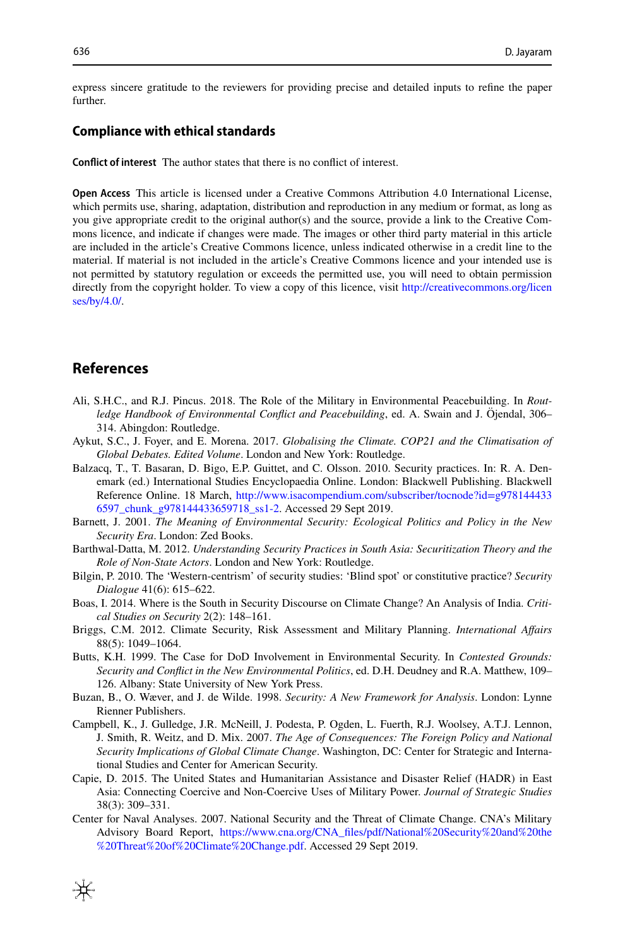express sincere gratitude to the reviewers for providing precise and detailed inputs to refne the paper further.

#### **Compliance with ethical standards**

**Confict of interest** The author states that there is no confict of interest.

**Open Access** This article is licensed under a Creative Commons Attribution 4.0 International License, which permits use, sharing, adaptation, distribution and reproduction in any medium or format, as long as you give appropriate credit to the original author(s) and the source, provide a link to the Creative Commons licence, and indicate if changes were made. The images or other third party material in this article are included in the article's Creative Commons licence, unless indicated otherwise in a credit line to the material. If material is not included in the article's Creative Commons licence and your intended use is not permitted by statutory regulation or exceeds the permitted use, you will need to obtain permission directly from the copyright holder. To view a copy of this licence, visit [http://creativecommons.org/licen](http://creativecommons.org/licenses/by/4.0/) [ses/by/4.0/](http://creativecommons.org/licenses/by/4.0/).

# **References**

- <span id="page-17-7"></span>Ali, S.H.C., and R.J. Pincus. 2018. The Role of the Military in Environmental Peacebuilding. In *Routledge Handbook of Environmental Confict and Peacebuilding*, ed. A. Swain and J. Öjendal, 306– 314. Abingdon: Routledge.
- <span id="page-17-6"></span>Aykut, S.C., J. Foyer, and E. Morena. 2017. *Globalising the Climate. COP21 and the Climatisation of Global Debates. Edited Volume*. London and New York: Routledge.
- <span id="page-17-1"></span>Balzacq, T., T. Basaran, D. Bigo, E.P. Guittet, and C. Olsson. 2010. Security practices. In: R. A. Denemark (ed.) International Studies Encyclopaedia Online. London: Blackwell Publishing. Blackwell Reference Online. 18 March, [http://www.isacompendium.com/subscriber/tocnode?id=g978144433](http://www.isacompendium.com/subscriber/tocnode%3fid%3dg9781444336597_chunk_g978144433659718_ss1-2) [6597\\_chunk\\_g978144433659718\\_ss1-2](http://www.isacompendium.com/subscriber/tocnode%3fid%3dg9781444336597_chunk_g978144433659718_ss1-2). Accessed 29 Sept 2019.
- <span id="page-17-4"></span>Barnett, J. 2001. *The Meaning of Environmental Security: Ecological Politics and Policy in the New Security Era*. London: Zed Books.
- <span id="page-17-10"></span>Barthwal-Datta, M. 2012. *Understanding Security Practices in South Asia: Securitization Theory and the Role of Non-State Actors*. London and New York: Routledge.
- <span id="page-17-2"></span>Bilgin, P. 2010. The 'Western-centrism' of security studies: 'Blind spot' or constitutive practice? *Security Dialogue* 41(6): 615–622.
- <span id="page-17-11"></span>Boas, I. 2014. Where is the South in Security Discourse on Climate Change? An Analysis of India. *Critical Studies on Security* 2(2): 148–161.
- <span id="page-17-5"></span>Briggs, C.M. 2012. Climate Security, Risk Assessment and Military Planning. *International Afairs* 88(5): 1049–1064.
- <span id="page-17-9"></span>Butts, K.H. 1999. The Case for DoD Involvement in Environmental Security. In *Contested Grounds: Security and Confict in the New Environmental Politics*, ed. D.H. Deudney and R.A. Matthew, 109– 126. Albany: State University of New York Press.
- <span id="page-17-0"></span>Buzan, B., O. Wæver, and J. de Wilde. 1998. *Security: A New Framework for Analysis*. London: Lynne Rienner Publishers.
- <span id="page-17-3"></span>Campbell, K., J. Gulledge, J.R. McNeill, J. Podesta, P. Ogden, L. Fuerth, R.J. Woolsey, A.T.J. Lennon, J. Smith, R. Weitz, and D. Mix. 2007. *The Age of Consequences: The Foreign Policy and National Security Implications of Global Climate Change*. Washington, DC: Center for Strategic and International Studies and Center for American Security.
- <span id="page-17-12"></span>Capie, D. 2015. The United States and Humanitarian Assistance and Disaster Relief (HADR) in East Asia: Connecting Coercive and Non-Coercive Uses of Military Power. *Journal of Strategic Studies* 38(3): 309–331.
- <span id="page-17-8"></span>Center for Naval Analyses. 2007. National Security and the Threat of Climate Change. CNA's Military Advisory Board Report, [https://www.cna.org/CNA\\_fles/pdf/National%20Security%20and%20the](https://www.cna.org/CNA_files/pdf/National%20Security%20and%20the%20Threat%20of%20Climate%20Change.pdf) [%20Threat%20of%20Climate%20Change.pdf.](https://www.cna.org/CNA_files/pdf/National%20Security%20and%20the%20Threat%20of%20Climate%20Change.pdf) Accessed 29 Sept 2019.

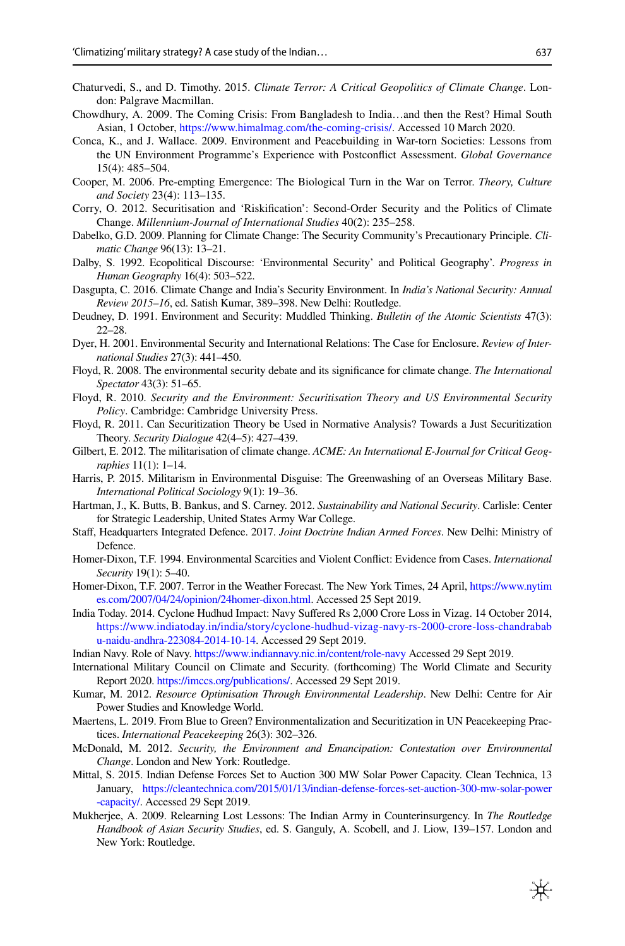- 
- <span id="page-18-7"></span>Chaturvedi, S., and D. Timothy. 2015. *Climate Terror: A Critical Geopolitics of Climate Change*. London: Palgrave Macmillan.
- <span id="page-18-17"></span>Chowdhury, A. 2009. The Coming Crisis: From Bangladesh to India…and then the Rest? Himal South Asian, 1 October, [https://www.himalmag.com/the-coming-crisis/.](https://www.himalmag.com/the-coming-crisis/) Accessed 10 March 2020.
- <span id="page-18-14"></span>Conca, K., and J. Wallace. 2009. Environment and Peacebuilding in War-torn Societies: Lessons from the UN Environment Programme's Experience with Postconfict Assessment. *Global Governance* 15(4): 485–504.
- <span id="page-18-23"></span>Cooper, M. 2006. Pre-empting Emergence: The Biological Turn in the War on Terror. *Theory, Culture and Society* 23(4): 113–135.
- <span id="page-18-11"></span>Corry, O. 2012. Securitisation and 'Riskifcation': Second-Order Security and the Politics of Climate Change. *Millennium-Journal of International Studies* 40(2): 235–258.
- <span id="page-18-12"></span>Dabelko, G.D. 2009. Planning for Climate Change: The Security Community's Precautionary Principle. *Climatic Change* 96(13): 13–21.
- <span id="page-18-8"></span>Dalby, S. 1992. Ecopolitical Discourse: 'Environmental Security' and Political Geography'. *Progress in Human Geography* 16(4): 503–522.
- <span id="page-18-19"></span>Dasgupta, C. 2016. Climate Change and India's Security Environment. In *India's National Security: Annual Review 2015–16*, ed. Satish Kumar, 389–398. New Delhi: Routledge.
- <span id="page-18-9"></span>Deudney, D. 1991. Environment and Security: Muddled Thinking. *Bulletin of the Atomic Scientists* 47(3): 22–28.
- <span id="page-18-1"></span>Dyer, H. 2001. Environmental Security and International Relations: The Case for Enclosure. *Review of International Studies* 27(3): 441–450.
- <span id="page-18-2"></span>Floyd, R. 2008. The environmental security debate and its signifcance for climate change. *The International Spectator* 43(3): 51–65.
- <span id="page-18-6"></span>Floyd, R. 2010. *Security and the Environment: Securitisation Theory and US Environmental Security Policy*. Cambridge: Cambridge University Press.
- <span id="page-18-18"></span>Floyd, R. 2011. Can Securitization Theory be Used in Normative Analysis? Towards a Just Securitization Theory. *Security Dialogue* 42(4–5): 427–439.
- <span id="page-18-10"></span>Gilbert, E. 2012. The militarisation of climate change. *ACME: An International E-Journal for Critical Geographies* 11(1): 1–14.
- <span id="page-18-16"></span>Harris, P. 2015. Militarism in Environmental Disguise: The Greenwashing of an Overseas Military Base. *International Political Sociology* 9(1): 19–36.
- <span id="page-18-15"></span>Hartman, J., K. Butts, B. Bankus, and S. Carney. 2012. *Sustainability and National Security*. Carlisle: Center for Strategic Leadership, United States Army War College.
- <span id="page-18-0"></span>Staf, Headquarters Integrated Defence. 2017. *Joint Doctrine Indian Armed Forces*. New Delhi: Ministry of Defence.
- <span id="page-18-4"></span>Homer-Dixon, T.F. 1994. Environmental Scarcities and Violent Confict: Evidence from Cases. *International Security* 19(1): 5–40.
- <span id="page-18-5"></span>Homer-Dixon, T.F. 2007. Terror in the Weather Forecast. The New York Times, 24 April, [https://www.nytim](https://www.nytimes.com/2007/04/24/opinion/24homer-dixon.html) [es.com/2007/04/24/opinion/24homer-dixon.html.](https://www.nytimes.com/2007/04/24/opinion/24homer-dixon.html) Accessed 25 Sept 2019.
- <span id="page-18-22"></span>India Today. 2014. Cyclone Hudhud Impact: Navy Sufered Rs 2,000 Crore Loss in Vizag. 14 October 2014, [https://www.indiatoday.in/india/story/cyclone-hudhud-vizag-navy-rs-2000-crore-loss-chandrabab](https://www.indiatoday.in/india/story/cyclone-hudhud-vizag-navy-rs-2000-crore-loss-chandrababu-naidu-andhra-223084-2014-10-14) [u-naidu-andhra-223084-2014-10-14.](https://www.indiatoday.in/india/story/cyclone-hudhud-vizag-navy-rs-2000-crore-loss-chandrababu-naidu-andhra-223084-2014-10-14) Accessed 29 Sept 2019.
- Indian Navy. Role of Navy. <https://www.indiannavy.nic.in/content/role-navy>Accessed 29 Sept 2019.
- International Military Council on Climate and Security. (forthcoming) The World Climate and Security Report 2020. [https://imccs.org/publications/.](https://imccs.org/publications/) Accessed 29 Sept 2019.
- <span id="page-18-20"></span>Kumar, M. 2012. *Resource Optimisation Through Environmental Leadership*. New Delhi: Centre for Air Power Studies and Knowledge World.
- <span id="page-18-13"></span>Maertens, L. 2019. From Blue to Green? Environmentalization and Securitization in UN Peacekeeping Practices. *International Peacekeeping* 26(3): 302–326.
- <span id="page-18-3"></span>McDonald, M. 2012. *Security, the Environment and Emancipation: Contestation over Environmental Change*. London and New York: Routledge.
- <span id="page-18-21"></span>Mittal, S. 2015. Indian Defense Forces Set to Auction 300 MW Solar Power Capacity. Clean Technica, 13 January, [https://cleantechnica.com/2015/01/13/indian-defense-forces-set-auction-300-mw-solar-power](https://cleantechnica.com/2015/01/13/indian-defense-forces-set-auction-300-mw-solar-power-capacity/) [-capacity/](https://cleantechnica.com/2015/01/13/indian-defense-forces-set-auction-300-mw-solar-power-capacity/). Accessed 29 Sept 2019.
- <span id="page-18-24"></span>Mukherjee, A. 2009. Relearning Lost Lessons: The Indian Army in Counterinsurgency. In *The Routledge Handbook of Asian Security Studies*, ed. S. Ganguly, A. Scobell, and J. Liow, 139–157. London and New York: Routledge.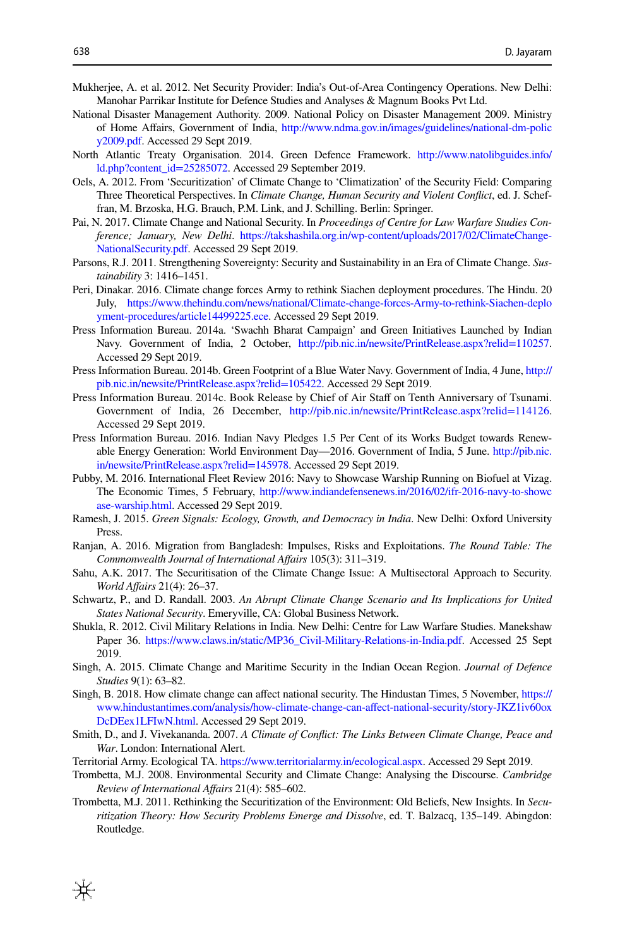- <span id="page-19-12"></span>Mukherjee, A. et al. 2012. Net Security Provider: India's Out-of-Area Contingency Operations. New Delhi: Manohar Parrikar Institute for Defence Studies and Analyses & Magnum Books Pvt Ltd.
- <span id="page-19-13"></span>National Disaster Management Authority. 2009. National Policy on Disaster Management 2009. Ministry of Home Afairs, Government of India, [http://www.ndma.gov.in/images/guidelines/national-dm-polic](http://www.ndma.gov.in/images/guidelines/national-dm-policy2009.pdf) [y2009.pdf.](http://www.ndma.gov.in/images/guidelines/national-dm-policy2009.pdf) Accessed 29 Sept 2019.
- <span id="page-19-6"></span>North Atlantic Treaty Organisation. 2014. Green Defence Framework. [http://www.natolibguides.info/](http://www.natolibguides.info/ld.php%3fcontent_id%3d25285072) [ld.php?content\\_id=25285072](http://www.natolibguides.info/ld.php%3fcontent_id%3d25285072). Accessed 29 September 2019.
- <span id="page-19-4"></span>Oels, A. 2012. From 'Securitization' of Climate Change to 'Climatization' of the Security Field: Comparing Three Theoretical Perspectives. In *Climate Change, Human Security and Violent Confict*, ed. J. Scheffran, M. Brzoska, H.G. Brauch, P.M. Link, and J. Schilling. Berlin: Springer.
- <span id="page-19-10"></span>Pai, N. 2017. Climate Change and National Security. In *Proceedings of Centre for Law Warfare Studies Conference; January, New Delhi*. [https://takshashila.org.in/wp-content/uploads/2017/02/ClimateChange-](https://takshashila.org.in/wp-content/uploads/2017/02/ClimateChange-NationalSecurity.pdf)[NationalSecurity.pdf](https://takshashila.org.in/wp-content/uploads/2017/02/ClimateChange-NationalSecurity.pdf). Accessed 29 Sept 2019.
- <span id="page-19-5"></span>Parsons, R.J. 2011. Strengthening Sovereignty: Security and Sustainability in an Era of Climate Change. *Sustainability* 3: 1416–1451.
- <span id="page-19-19"></span>Peri, Dinakar. 2016. Climate change forces Army to rethink Siachen deployment procedures. The Hindu. 20 July, [https://www.thehindu.com/news/national/Climate-change-forces-Army-to-rethink-Siachen-deplo](https://www.thehindu.com/news/national/Climate-change-forces-Army-to-rethink-Siachen-deployment-procedures/article14499225.ece) [yment-procedures/article14499225.ece.](https://www.thehindu.com/news/national/Climate-change-forces-Army-to-rethink-Siachen-deployment-procedures/article14499225.ece) Accessed 29 Sept 2019.
- <span id="page-19-14"></span>Press Information Bureau. 2014a. 'Swachh Bharat Campaign' and Green Initiatives Launched by Indian Navy. Government of India, 2 October, <http://pib.nic.in/newsite/PrintRelease.aspx?relid=110257>. Accessed 29 Sept 2019.
- <span id="page-19-15"></span>Press Information Bureau. 2014b. Green Footprint of a Blue Water Navy. Government of India, 4 June, [http://](http://pib.nic.in/newsite/PrintRelease.aspx?relid=105422) [pib.nic.in/newsite/PrintRelease.aspx?relid=105422](http://pib.nic.in/newsite/PrintRelease.aspx?relid=105422). Accessed 29 Sept 2019.
- <span id="page-19-18"></span>Press Information Bureau. 2014c. Book Release by Chief of Air Staff on Tenth Anniversary of Tsunami. Government of India, 26 December, <http://pib.nic.in/newsite/PrintRelease.aspx?relid=114126>. Accessed 29 Sept 2019.
- <span id="page-19-17"></span>Press Information Bureau. 2016. Indian Navy Pledges 1.5 Per Cent of its Works Budget towards Renewable Energy Generation: World Environment Day—2016. Government of India, 5 June. [http://pib.nic.](http://pib.nic.in/newsite/PrintRelease.aspx?relid=145978) [in/newsite/PrintRelease.aspx?relid=145978](http://pib.nic.in/newsite/PrintRelease.aspx?relid=145978). Accessed 29 Sept 2019.
- <span id="page-19-16"></span>Pubby, M. 2016. International Fleet Review 2016: Navy to Showcase Warship Running on Biofuel at Vizag. The Economic Times, 5 February, [http://www.indiandefensenews.in/2016/02/ifr-2016-navy-to-showc](http://www.indiandefensenews.in/2016/02/ifr-2016-navy-to-showcase-warship.html) [ase-warship.html.](http://www.indiandefensenews.in/2016/02/ifr-2016-navy-to-showcase-warship.html) Accessed 29 Sept 2019.
- <span id="page-19-7"></span>Ramesh, J. 2015. *Green Signals: Ecology, Growth, and Democracy in India*. New Delhi: Oxford University Press.
- <span id="page-19-9"></span>Ranjan, A. 2016. Migration from Bangladesh: Impulses, Risks and Exploitations. *The Round Table: The Commonwealth Journal of International Afairs* 105(3): 311–319.
- <span id="page-19-8"></span>Sahu, A.K. 2017. The Securitisation of the Climate Change Issue: A Multisectoral Approach to Security. *World Afairs* 21(4): 26–37.
- <span id="page-19-1"></span>Schwartz, P., and D. Randall. 2003. *An Abrupt Climate Change Scenario and Its Implications for United States National Security*. Emeryville, CA: Global Business Network.
- <span id="page-19-21"></span>Shukla, R. 2012. Civil Military Relations in India. New Delhi: Centre for Law Warfare Studies. Manekshaw Paper 36. [https://www.claws.in/static/MP36\\_Civil-Military-Relations-in-India.pdf.](https://www.claws.in/static/MP36_Civil-Military-Relations-in-India.pdf) Accessed 25 Sept 2019.
- <span id="page-19-11"></span>Singh, A. 2015. Climate Change and Maritime Security in the Indian Ocean Region. *Journal of Defence Studies* 9(1): 63–82.
- <span id="page-19-20"></span>Singh, B. 2018. How climate change can afect national security. The Hindustan Times, 5 November, [https://](https://www.hindustantimes.com/analysis/how-climate-change-can-affect-national-security/story-JKZ1iv60oxDcDEex1LFIwN.html) [www.hindustantimes.com/analysis/how-climate-change-can-afect-national-security/story-JKZ1iv60ox](https://www.hindustantimes.com/analysis/how-climate-change-can-affect-national-security/story-JKZ1iv60oxDcDEex1LFIwN.html) [DcDEex1LFIwN.html.](https://www.hindustantimes.com/analysis/how-climate-change-can-affect-national-security/story-JKZ1iv60oxDcDEex1LFIwN.html) Accessed 29 Sept 2019.
- <span id="page-19-2"></span>Smith, D., and J. Vivekananda. 2007. *A Climate of Confict: The Links Between Climate Change, Peace and War*. London: International Alert.
- Territorial Army. Ecological TA.<https://www.territorialarmy.in/ecological.aspx>. Accessed 29 Sept 2019.
- <span id="page-19-3"></span>Trombetta, M.J. 2008. Environmental Security and Climate Change: Analysing the Discourse. *Cambridge Review of International Afairs* 21(4): 585–602.
- <span id="page-19-0"></span>Trombetta, M.J. 2011. Rethinking the Securitization of the Environment: Old Beliefs, New Insights. In *Securitization Theory: How Security Problems Emerge and Dissolve*, ed. T. Balzacq, 135–149. Abingdon: Routledge.